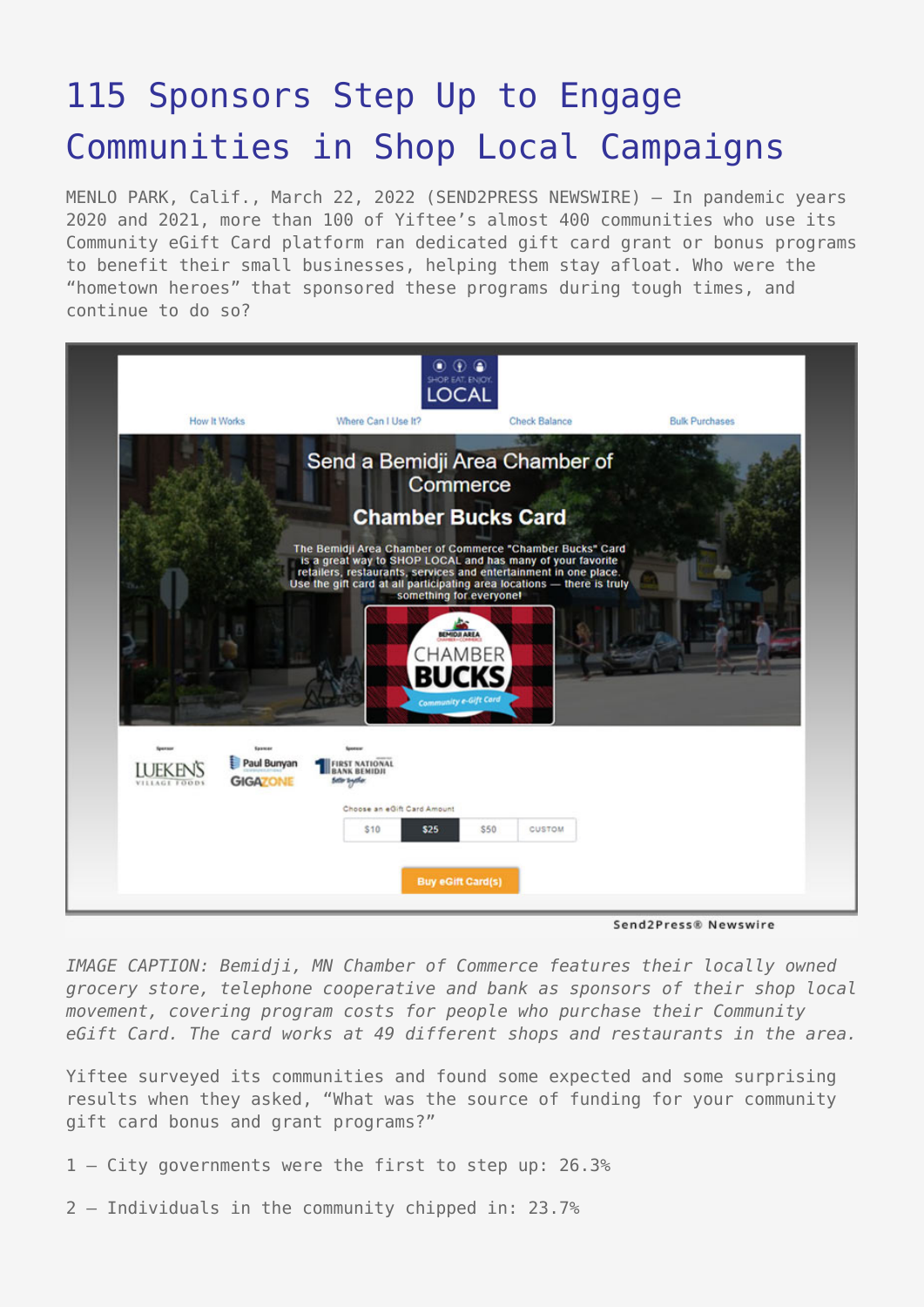# [115 Sponsors Step Up to Engage](https://www.send2press.com/wire/115-sponsors-step-up-to-engage-communities-in-shop-local-campaigns/) [Communities in Shop Local Campaigns](https://www.send2press.com/wire/115-sponsors-step-up-to-engage-communities-in-shop-local-campaigns/)

MENLO PARK, Calif., March 22, 2022 (SEND2PRESS NEWSWIRE) — In pandemic years 2020 and 2021, more than 100 of Yiftee's almost 400 communities who use its Community eGift Card platform ran dedicated gift card grant or bonus programs to benefit their small businesses, helping them stay afloat. Who were the "hometown heroes" that sponsored these programs during tough times, and continue to do so?



Send2Press® Newswire

*IMAGE CAPTION: Bemidji, MN Chamber of Commerce features their locally owned grocery store, telephone cooperative and bank as sponsors of their shop local movement, covering program costs for people who purchase their Community eGift Card. The card works at 49 different shops and restaurants in the area.*

Yiftee surveyed its communities and found some expected and some surprising results when they asked, "What was the source of funding for your community gift card bonus and grant programs?"

- 1 City governments were the first to step up: 26.3%
- 2 Individuals in the community chipped in: 23.7%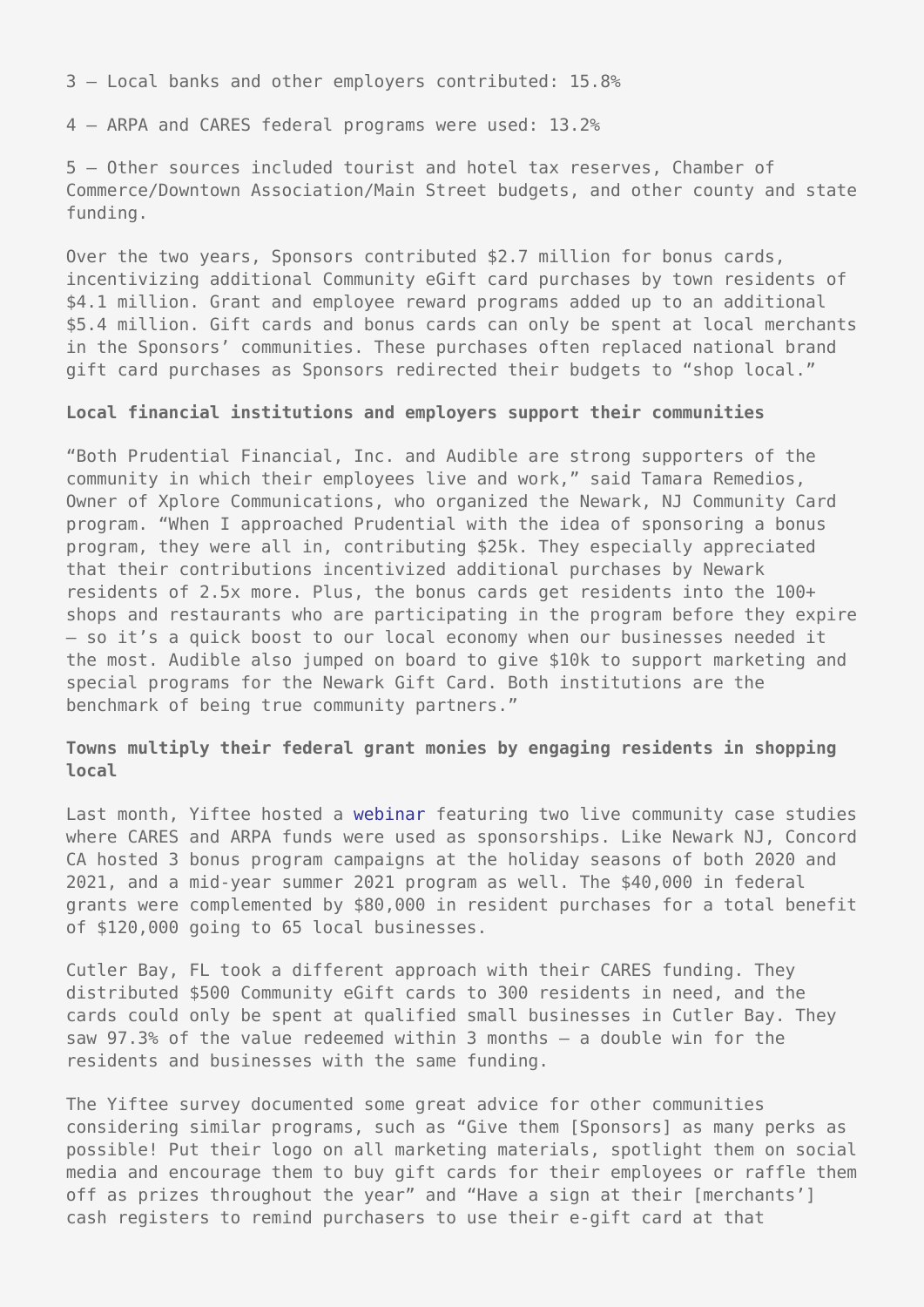3 — Local banks and other employers contributed: 15.8%

4 — ARPA and CARES federal programs were used: 13.2%

5 — Other sources included tourist and hotel tax reserves, Chamber of Commerce/Downtown Association/Main Street budgets, and other county and state funding.

Over the two years, Sponsors contributed \$2.7 million for bonus cards, incentivizing additional Community eGift card purchases by town residents of \$4.1 million. Grant and employee reward programs added up to an additional \$5.4 million. Gift cards and bonus cards can only be spent at local merchants in the Sponsors' communities. These purchases often replaced national brand gift card purchases as Sponsors redirected their budgets to "shop local."

### **Local financial institutions and employers support their communities**

"Both Prudential Financial, Inc. and Audible are strong supporters of the community in which their employees live and work," said Tamara Remedios, Owner of Xplore Communications, who organized the Newark, NJ Community Card program. "When I approached Prudential with the idea of sponsoring a bonus program, they were all in, contributing \$25k. They especially appreciated that their contributions incentivized additional purchases by Newark residents of 2.5x more. Plus, the bonus cards get residents into the 100+ shops and restaurants who are participating in the program before they expire – so it's a quick boost to our local economy when our businesses needed it the most. Audible also jumped on board to give \$10k to support marketing and special programs for the Newark Gift Card. Both institutions are the benchmark of being true community partners."

## **Towns multiply their federal grant monies by engaging residents in shopping local**

Last month, Yiftee hosted a [webinar](https://www.youtube.com/watch?v=9qhm8D2NPaI) featuring two live community case studies where CARES and ARPA funds were used as sponsorships. Like Newark NJ, Concord CA hosted 3 bonus program campaigns at the holiday seasons of both 2020 and 2021, and a mid-year summer 2021 program as well. The \$40,000 in federal grants were complemented by \$80,000 in resident purchases for a total benefit of \$120,000 going to 65 local businesses.

Cutler Bay, FL took a different approach with their CARES funding. They distributed \$500 Community eGift cards to 300 residents in need, and the cards could only be spent at qualified small businesses in Cutler Bay. They saw 97.3% of the value redeemed within 3 months – a double win for the residents and businesses with the same funding.

The Yiftee survey documented some great advice for other communities considering similar programs, such as "Give them [Sponsors] as many perks as possible! Put their logo on all marketing materials, spotlight them on social media and encourage them to buy gift cards for their employees or raffle them off as prizes throughout the year" and "Have a sign at their [merchants'] cash registers to remind purchasers to use their e-gift card at that